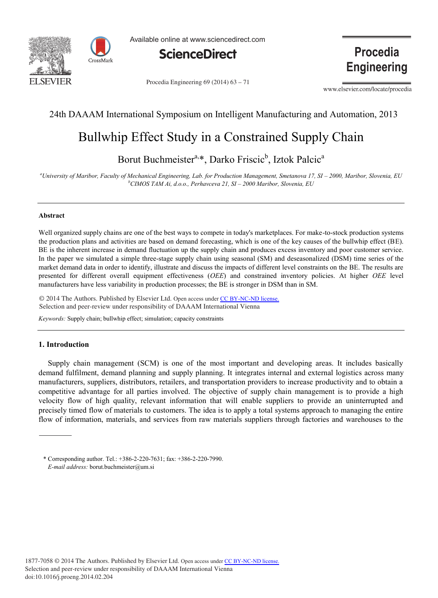



Available online at www.sciencedirect.com



Procedia Engineering  $69$  (2014)  $63 - 71$ 

**Procedia Engineering** 

www.elsevier.com/locate/procedia

## 24th DAAAM International Symposium on Intelligent Manufacturing and Automation, 2013

# Bullwhip Effect Study in a Constrained Supply Chain

Borut Buchmeister<sup>a,\*</sup>, Darko Friscic<sup>b</sup>, Iztok Palcic<sup>a</sup>

*a University of Maribor, Faculty of Mechanical Engineering, Lab. for Production Management, Smetanova 17, SI – 2000, Maribor, Slovenia, EU b CIMOS TAM Ai, d.o.o., Perhavceva 21, SI – 2000 Maribor, Slovenia, EU* 

#### **Abstract**

Well organized supply chains are one of the best ways to compete in today's marketplaces. For make-to-stock production systems the production plans and activities are based on demand forecasting, which is one of the key causes of the bullwhip effect (BE). BE is the inherent increase in demand fluctuation up the supply chain and produces excess inventory and poor customer service. In the paper we simulated a simple three-stage supply chain using seasonal (SM) and deseasonalized (DSM) time series of the market demand data in order to identify, illustrate and discuss the impacts of different level constraints on the BE. The results are presented for different overall equipment effectiveness (*OEE*) and constrained inventory policies. At higher *OEE* level manufacturers have less variability in production processes; the BE is stronger in DSM than in SM.

 $\overline{O}$  2014 The Authors. Published by Elsevier Ltd. © 2014 The Authors. Published by Elsevier Ltd. Open access under [CC BY-NC-ND license.](http://creativecommons.org/licenses/by-nc-nd/3.0/) Selection and peer-review under responsibility of DAAAM International Vienna

*Keywords:* Supply chain; bullwhip effect; simulation; capacity constraints

### **1. Introduction**

Supply chain management (SCM) is one of the most important and developing areas. It includes basically demand fulfilment, demand planning and supply planning. It integrates internal and external logistics across many manufacturers, suppliers, distributors, retailers, and transportation providers to increase productivity and to obtain a competitive advantage for all parties involved. The objective of supply chain management is to provide a high velocity flow of high quality, relevant information that will enable suppliers to provide an uninterrupted and precisely timed flow of materials to customers. The idea is to apply a total systems approach to managing the entire flow of information, materials, and services from raw materials suppliers through factories and warehouses to the

<sup>\*</sup> Corresponding author. Tel.: +386-2-220-7631; fax: +386-2-220-7990. *E-mail address:* borut.buchmeister@um.si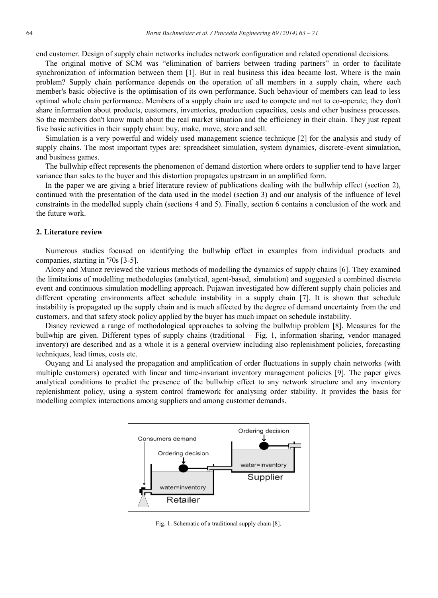end customer. Design of supply chain networks includes network configuration and related operational decisions.

The original motive of SCM was "elimination of barriers between trading partners" in order to facilitate synchronization of information between them [1]. But in real business this idea became lost. Where is the main problem? Supply chain performance depends on the operation of all members in a supply chain, where each member's basic objective is the optimisation of its own performance. Such behaviour of members can lead to less optimal whole chain performance. Members of a supply chain are used to compete and not to co-operate; they don't share information about products, customers, inventories, production capacities, costs and other business processes. So the members don't know much about the real market situation and the efficiency in their chain. They just repeat five basic activities in their supply chain: buy, make, move, store and sell.

Simulation is a very powerful and widely used management science technique [2] for the analysis and study of supply chains. The most important types are: spreadsheet simulation, system dynamics, discrete-event simulation, and business games.

The bullwhip effect represents the phenomenon of demand distortion where orders to supplier tend to have larger variance than sales to the buyer and this distortion propagates upstream in an amplified form.

In the paper we are giving a brief literature review of publications dealing with the bullwhip effect (section 2), continued with the presentation of the data used in the model (section 3) and our analysis of the influence of level constraints in the modelled supply chain (sections 4 and 5). Finally, section 6 contains a conclusion of the work and the future work.

### **2. Literature review**

Numerous studies focused on identifying the bullwhip effect in examples from individual products and companies, starting in '70s [3-5].

Alony and Munoz reviewed the various methods of modelling the dynamics of supply chains [6]. They examined the limitations of modelling methodologies (analytical, agent-based, simulation) and suggested a combined discrete event and continuous simulation modelling approach. Pujawan investigated how different supply chain policies and different operating environments affect schedule instability in a supply chain [7]. It is shown that schedule instability is propagated up the supply chain and is much affected by the degree of demand uncertainty from the end customers, and that safety stock policy applied by the buyer has much impact on schedule instability.

Disney reviewed a range of methodological approaches to solving the bullwhip problem [8]. Measures for the bullwhip are given. Different types of supply chains (traditional – Fig. 1, information sharing, vendor managed inventory) are described and as a whole it is a general overview including also replenishment policies, forecasting techniques, lead times, costs etc.

Ouyang and Li analysed the propagation and amplification of order fluctuations in supply chain networks (with multiple customers) operated with linear and time-invariant inventory management policies [9]. The paper gives analytical conditions to predict the presence of the bullwhip effect to any network structure and any inventory replenishment policy, using a system control framework for analysing order stability. It provides the basis for modelling complex interactions among suppliers and among customer demands.



Fig. 1. Schematic of a traditional supply chain [8].